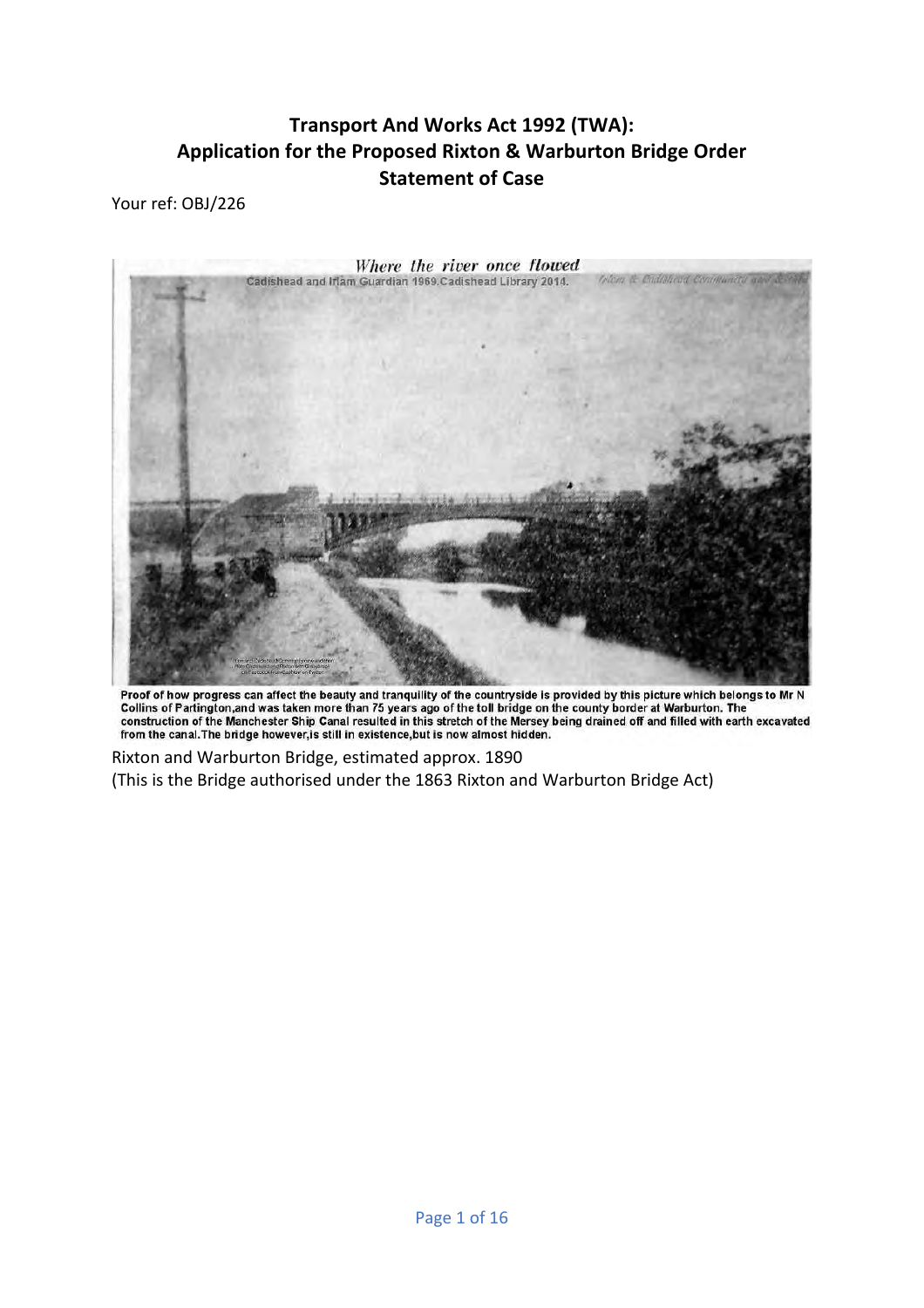## **Transport And Works Act 1992 (TWA): Application for the Proposed Rixton & Warburton Bridge Order Statement of Case**

Your ref: OBJ/226



Proof of how progress can affect the beauty and tranquility of the countryside is provided by this picture which belongs to Mr N<br>Collins of Partington,and was taken more than 75 years ago of the toll bridge on the county b

Rixton and Warburton Bridge, estimated approx. 1890 (This is the Bridge authorised under the 1863 Rixton and Warburton Bridge Act)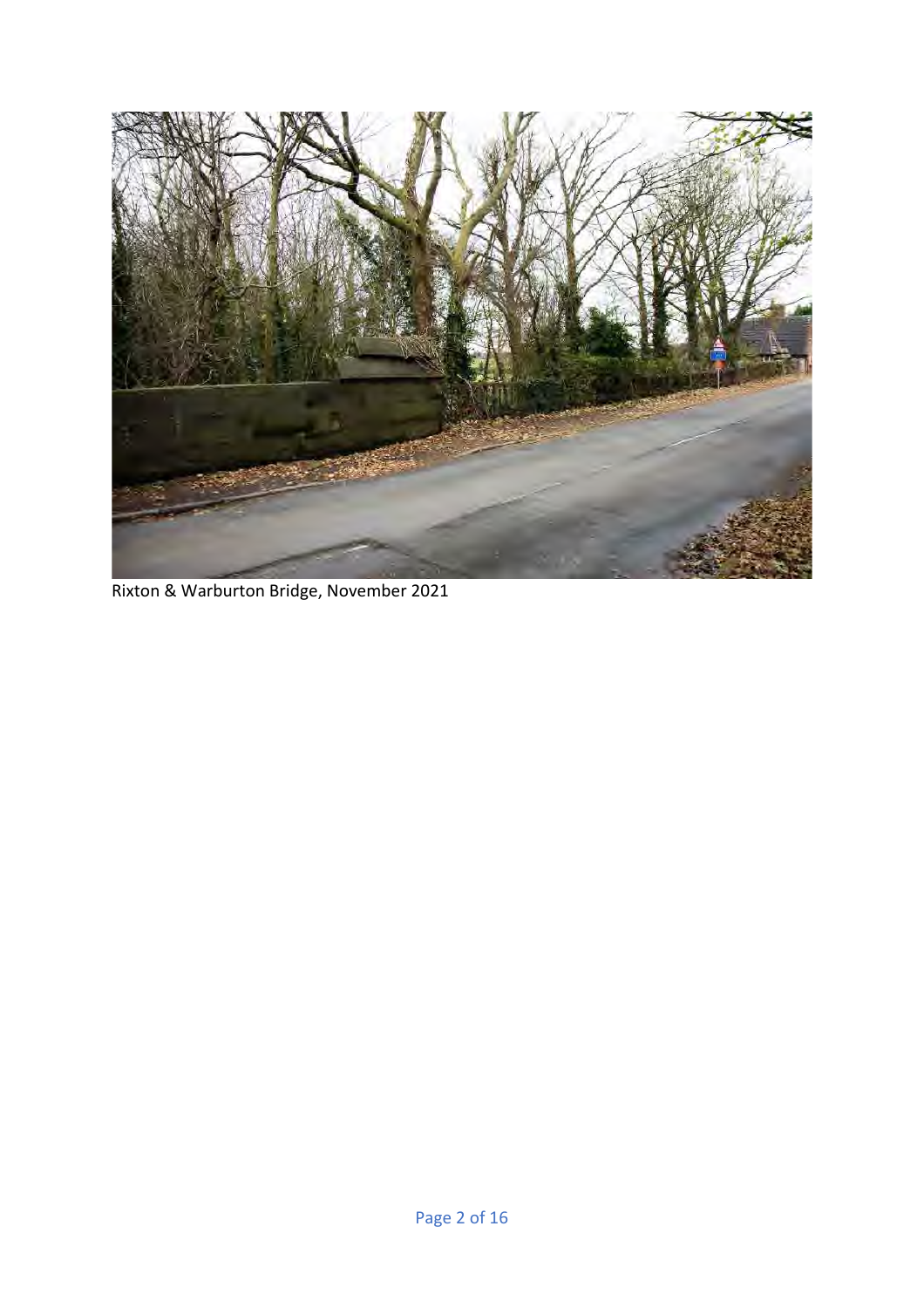

Rixton & Warburton Bridge, November 2021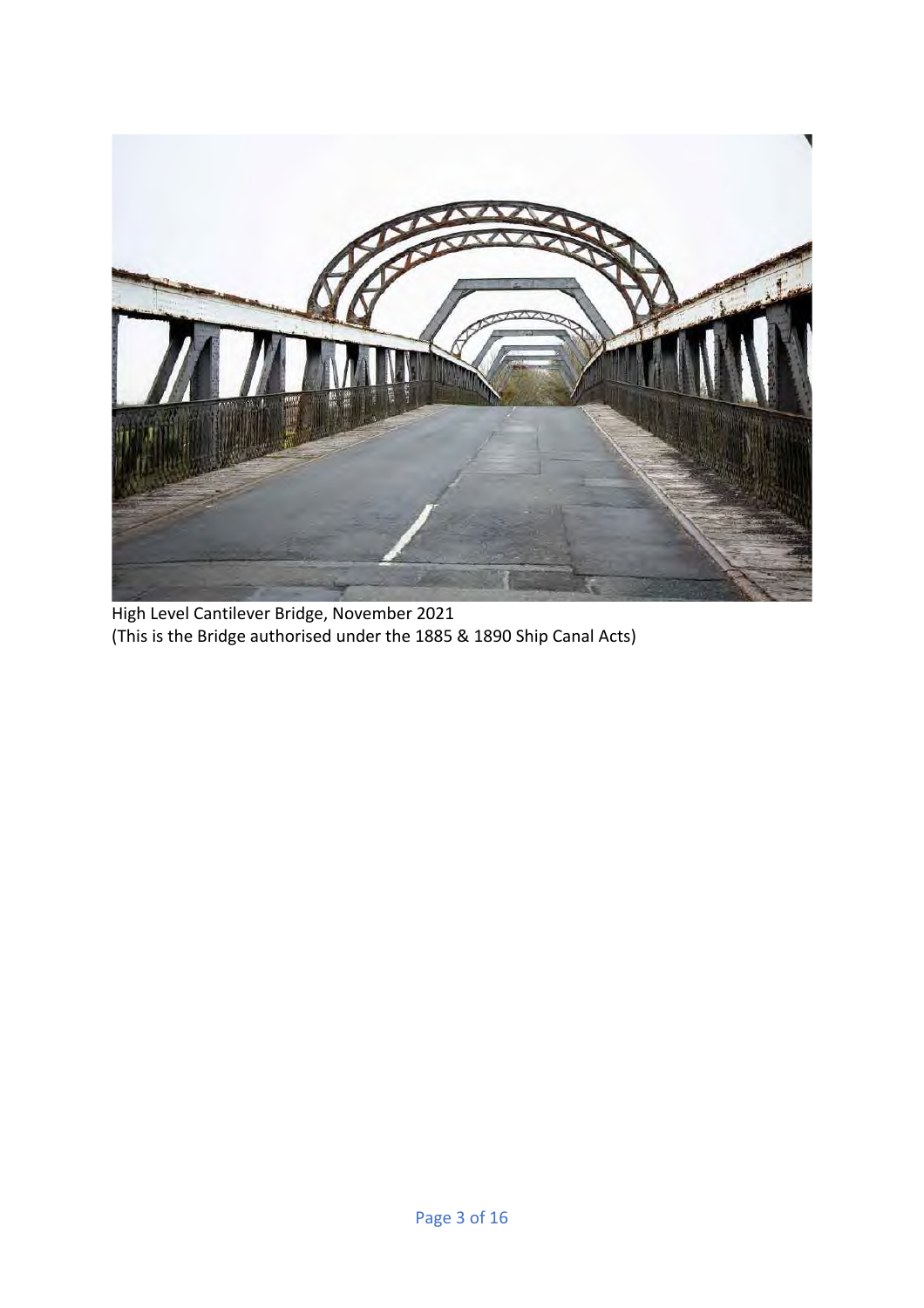

High Level Cantilever Bridge, November 2021 (This is the Bridge authorised under the 1885 & 1890 Ship Canal Acts)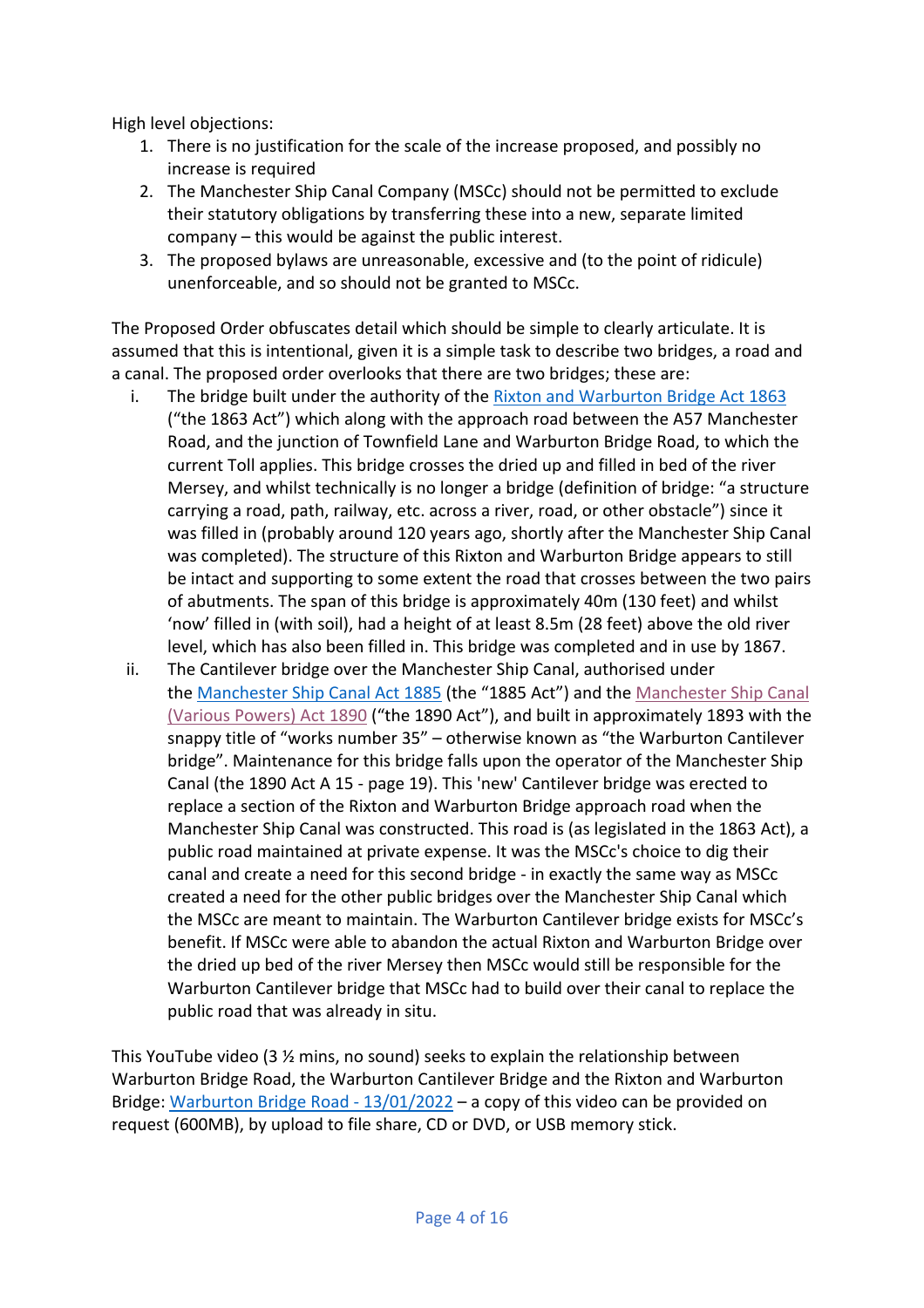High level objections:

- 1. There is no justification for the scale of the increase proposed, and possibly no increase is required
- 2. The Manchester Ship Canal Company (MSCc) should not be permitted to exclude their statutory obligations by transferring these into a new, separate limited company – this would be against the public interest.
- 3. The proposed bylaws are unreasonable, excessive and (to the point of ridicule) unenforceable, and so should not be granted to MSCc.

The Proposed Order obfuscates detail which should be simple to clearly articulate. It is assumed that this is intentional, given it is a simple task to describe two bridges, a road and a canal. The proposed order overlooks that there are two bridges; these are:

- i. The bridge built under the authority of the Rixton and Warburton Bridge Act  $1863$ ("the 1863 Act") which along with the approach road between the A57 Manchester Road, and the junction of Townfield Lane and Warburton Bridge Road, to which the current Toll applies. This bridge crosses the dried up and filled in bed of the river Mersey, and whilst technically is no longer a bridge (definition of bridge: "a structure carrying a road, path, railway, etc. across a river, road, or other obstacle") since it was filled in (probably around 120 years ago, shortly after the Manchester Ship Canal was completed). The structure of this Rixton and Warburton Bridge appears to still be intact and supporting to some extent the road that crosses between the two pairs of abutments. The span of this bridge is approximately 40m (130 feet) and whilst 'now' filled in (with soil), had a height of at least 8.5m (28 feet) above the old river level, which has also been filled in. This bridge was completed and in use by 1867.
- ii. The Cantilever bridge over the Manchester Ship Canal, authorised under the Manchester Ship Canal Act 1885 (the "1885 Act") and the Manchester Ship Canal (Various Powers) Act 1890 ("the 1890 Act"), and built in approximately 1893 with the snappy title of "works number 35" – otherwise known as "the Warburton Cantilever bridge". Maintenance for this bridge falls upon the operator of the Manchester Ship Canal (the 1890 Act A 15 - page 19). This 'new' Cantilever bridge was erected to replace a section of the Rixton and Warburton Bridge approach road when the Manchester Ship Canal was constructed. This road is (as legislated in the 1863 Act), a public road maintained at private expense. It was the MSCc's choice to dig their canal and create a need for this second bridge - in exactly the same way as MSCc created a need for the other public bridges over the Manchester Ship Canal which the MSCc are meant to maintain. The Warburton Cantilever bridge exists for MSCc's benefit. If MSCc were able to abandon the actual Rixton and Warburton Bridge over the dried up bed of the river Mersey then MSCc would still be responsible for the Warburton Cantilever bridge that MSCc had to build over their canal to replace the public road that was already in situ.

This YouTube video (3  $\frac{1}{2}$  mins, no sound) seeks to explain the relationship between Warburton Bridge Road, the Warburton Cantilever Bridge and the Rixton and Warburton Bridge: Warburton Bridge Road - 13/01/2022 – a copy of this video can be provided on request (600MB), by upload to file share, CD or DVD, or USB memory stick.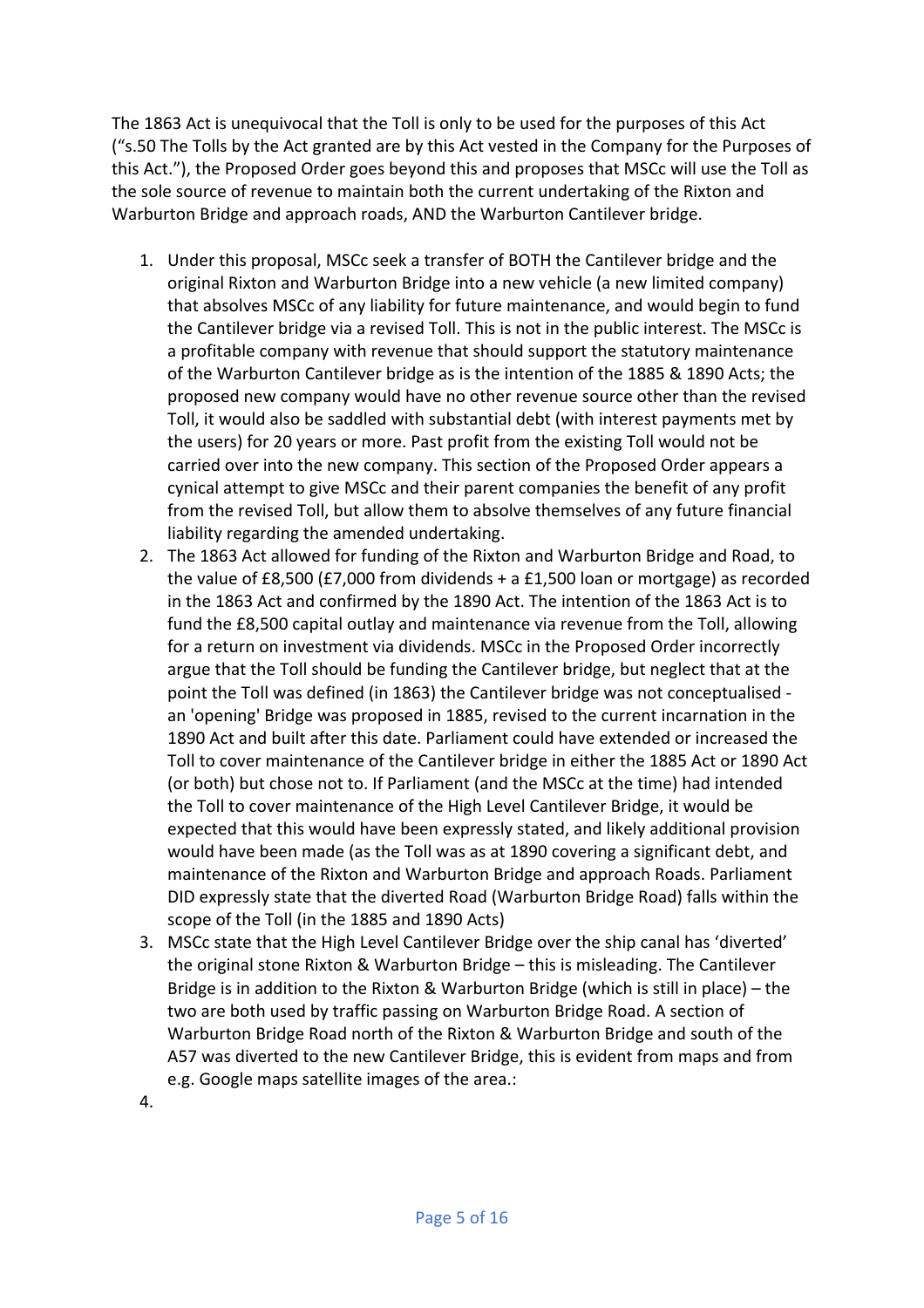The 1863 Act is unequivocal that the Toll is only to be used for the purposes of this Act ("s.50 The Tolls by the Act granted are by this Act vested in the Company for the Purposes of this Act."), the Proposed Order goes beyond this and proposes that MSCc will use the Toll as the sole source of revenue to maintain both the current undertaking of the Rixton and Warburton Bridge and approach roads, AND the Warburton Cantilever bridge.

- 1. Under this proposal, MSCc seek a transfer of BOTH the Cantilever bridge and the original Rixton and Warburton Bridge into a new vehicle (a new limited company) that absolves MSCc of any liability for future maintenance, and would begin to fund the Cantilever bridge via a revised Toll. This is not in the public interest. The MSCc is a profitable company with revenue that should support the statutory maintenance of the Warburton Cantilever bridge as is the intention of the 1885 & 1890 Acts; the proposed new company would have no other revenue source other than the revised Toll, it would also be saddled with substantial debt (with interest payments met by the users) for 20 years or more. Past profit from the existing Toll would not be carried over into the new company. This section of the Proposed Order appears a cynical attempt to give MSCc and their parent companies the benefit of any profit from the revised Toll, but allow them to absolve themselves of any future financial liability regarding the amended undertaking.
- 2. The 1863 Act allowed for funding of the Rixton and Warburton Bridge and Road, to the value of £8,500 (£7,000 from dividends + a £1,500 loan or mortgage) as recorded in the 1863 Act and confirmed by the 1890 Act. The intention of the 1863 Act is to fund the £8,500 capital outlay and maintenance via revenue from the Toll, allowing for a return on investment via dividends. MSCc in the Proposed Order incorrectly argue that the Toll should be funding the Cantilever bridge, but neglect that at the point the Toll was defined (in 1863) the Cantilever bridge was not conceptualised an 'opening' Bridge was proposed in 1885, revised to the current incarnation in the 1890 Act and built after this date. Parliament could have extended or increased the Toll to cover maintenance of the Cantilever bridge in either the 1885 Act or 1890 Act (or both) but chose not to. If Parliament (and the MSCc at the time) had intended the Toll to cover maintenance of the High Level Cantilever Bridge, it would be expected that this would have been expressly stated, and likely additional provision would have been made (as the Toll was as at 1890 covering a significant debt, and maintenance of the Rixton and Warburton Bridge and approach Roads. Parliament DID expressly state that the diverted Road (Warburton Bridge Road) falls within the scope of the Toll (in the 1885 and 1890 Acts)
- 3. MSCc state that the High Level Cantilever Bridge over the ship canal has 'diverted' the original stone Rixton & Warburton Bridge – this is misleading. The Cantilever Bridge is in addition to the Rixton & Warburton Bridge (which is still in place) – the two are both used by traffic passing on Warburton Bridge Road. A section of Warburton Bridge Road north of the Rixton & Warburton Bridge and south of the A57 was diverted to the new Cantilever Bridge, this is evident from maps and from e.g. Google maps satellite images of the area.:
- 4.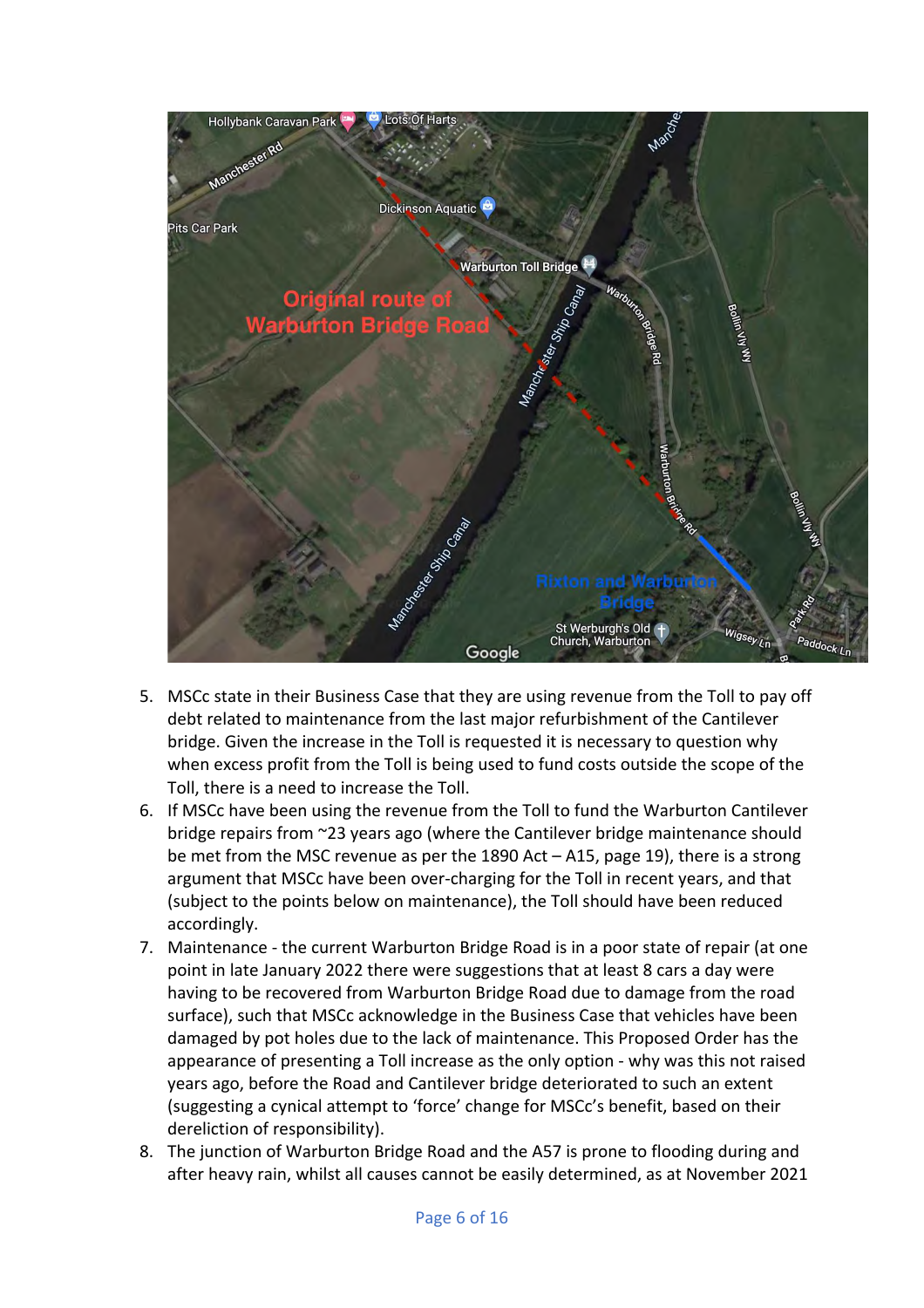

- 5. MSCc state in their Business Case that they are using revenue from the Toll to pay off debt related to maintenance from the last major refurbishment of the Cantilever bridge. Given the increase in the Toll is requested it is necessary to question why when excess profit from the Toll is being used to fund costs outside the scope of the Toll, there is a need to increase the Toll.
- 6. If MSCc have been using the revenue from the Toll to fund the Warburton Cantilever bridge repairs from ~23 years ago (where the Cantilever bridge maintenance should be met from the MSC revenue as per the 1890 Act – A15, page 19), there is a strong argument that MSCc have been over-charging for the Toll in recent years, and that (subject to the points below on maintenance), the Toll should have been reduced accordingly.
- 7. Maintenance the current Warburton Bridge Road is in a poor state of repair (at one point in late January 2022 there were suggestions that at least 8 cars a day were having to be recovered from Warburton Bridge Road due to damage from the road surface), such that MSCc acknowledge in the Business Case that vehicles have been damaged by pot holes due to the lack of maintenance. This Proposed Order has the appearance of presenting a Toll increase as the only option - why was this not raised years ago, before the Road and Cantilever bridge deteriorated to such an extent (suggesting a cynical attempt to 'force' change for MSCc's benefit, based on their dereliction of responsibility).
- 8. The junction of Warburton Bridge Road and the A57 is prone to flooding during and after heavy rain, whilst all causes cannot be easily determined, as at November 2021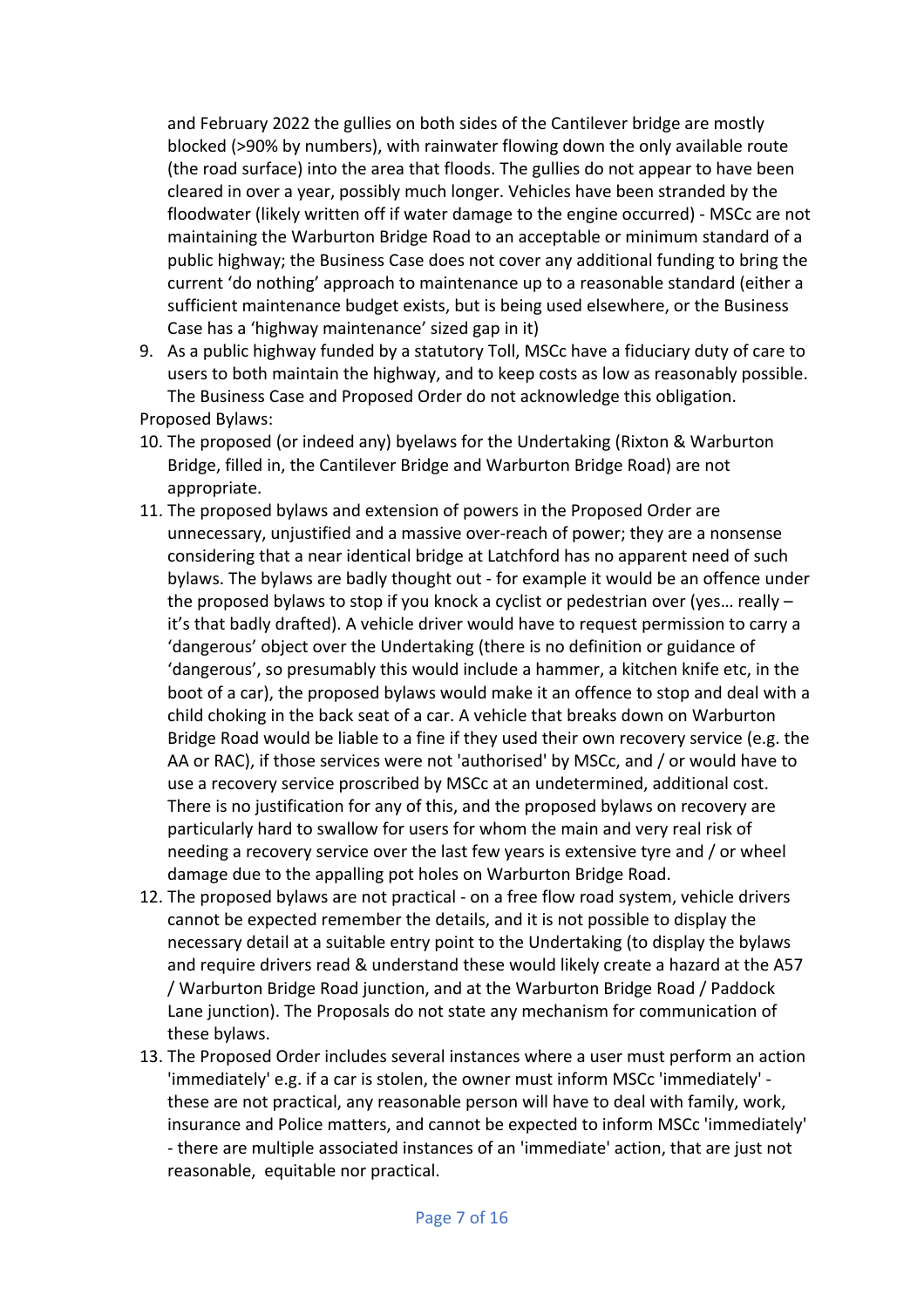and February 2022 the gullies on both sides of the Cantilever bridge are mostly blocked (>90% by numbers), with rainwater flowing down the only available route (the road surface) into the area that floods. The gullies do not appear to have been cleared in over a year, possibly much longer. Vehicles have been stranded by the floodwater (likely written off if water damage to the engine occurred) - MSCc are not maintaining the Warburton Bridge Road to an acceptable or minimum standard of a public highway; the Business Case does not cover any additional funding to bring the current 'do nothing' approach to maintenance up to a reasonable standard (either a sufficient maintenance budget exists, but is being used elsewhere, or the Business Case has a 'highway maintenance' sized gap in it)

- 9. As a public highway funded by a statutory Toll, MSCc have a fiduciary duty of care to users to both maintain the highway, and to keep costs as low as reasonably possible. The Business Case and Proposed Order do not acknowledge this obligation. Proposed Bylaws:
- 10. The proposed (or indeed any) byelaws for the Undertaking (Rixton & Warburton Bridge, filled in, the Cantilever Bridge and Warburton Bridge Road) are not appropriate.
- 11. The proposed bylaws and extension of powers in the Proposed Order are unnecessary, unjustified and a massive over-reach of power; they are a nonsense considering that a near identical bridge at Latchford has no apparent need of such bylaws. The bylaws are badly thought out - for example it would be an offence under the proposed bylaws to stop if you knock a cyclist or pedestrian over (yes… really – it's that badly drafted). A vehicle driver would have to request permission to carry a 'dangerous' object over the Undertaking (there is no definition or guidance of 'dangerous', so presumably this would include a hammer, a kitchen knife etc, in the boot of a car), the proposed bylaws would make it an offence to stop and deal with a child choking in the back seat of a car. A vehicle that breaks down on Warburton Bridge Road would be liable to a fine if they used their own recovery service (e.g. the AA or RAC), if those services were not 'authorised' by MSCc, and / or would have to use a recovery service proscribed by MSCc at an undetermined, additional cost. There is no justification for any of this, and the proposed bylaws on recovery are particularly hard to swallow for users for whom the main and very real risk of needing a recovery service over the last few years is extensive tyre and / or wheel damage due to the appalling pot holes on Warburton Bridge Road.
- 12. The proposed bylaws are not practical on a free flow road system, vehicle drivers cannot be expected remember the details, and it is not possible to display the necessary detail at a suitable entry point to the Undertaking (to display the bylaws and require drivers read & understand these would likely create a hazard at the A57 / Warburton Bridge Road junction, and at the Warburton Bridge Road / Paddock Lane junction). The Proposals do not state any mechanism for communication of these bylaws.
- 13. The Proposed Order includes several instances where a user must perform an action 'immediately' e.g. if a car is stolen, the owner must inform MSCc 'immediately' these are not practical, any reasonable person will have to deal with family, work, insurance and Police matters, and cannot be expected to inform MSCc 'immediately' - there are multiple associated instances of an 'immediate' action, that are just not reasonable, equitable nor practical.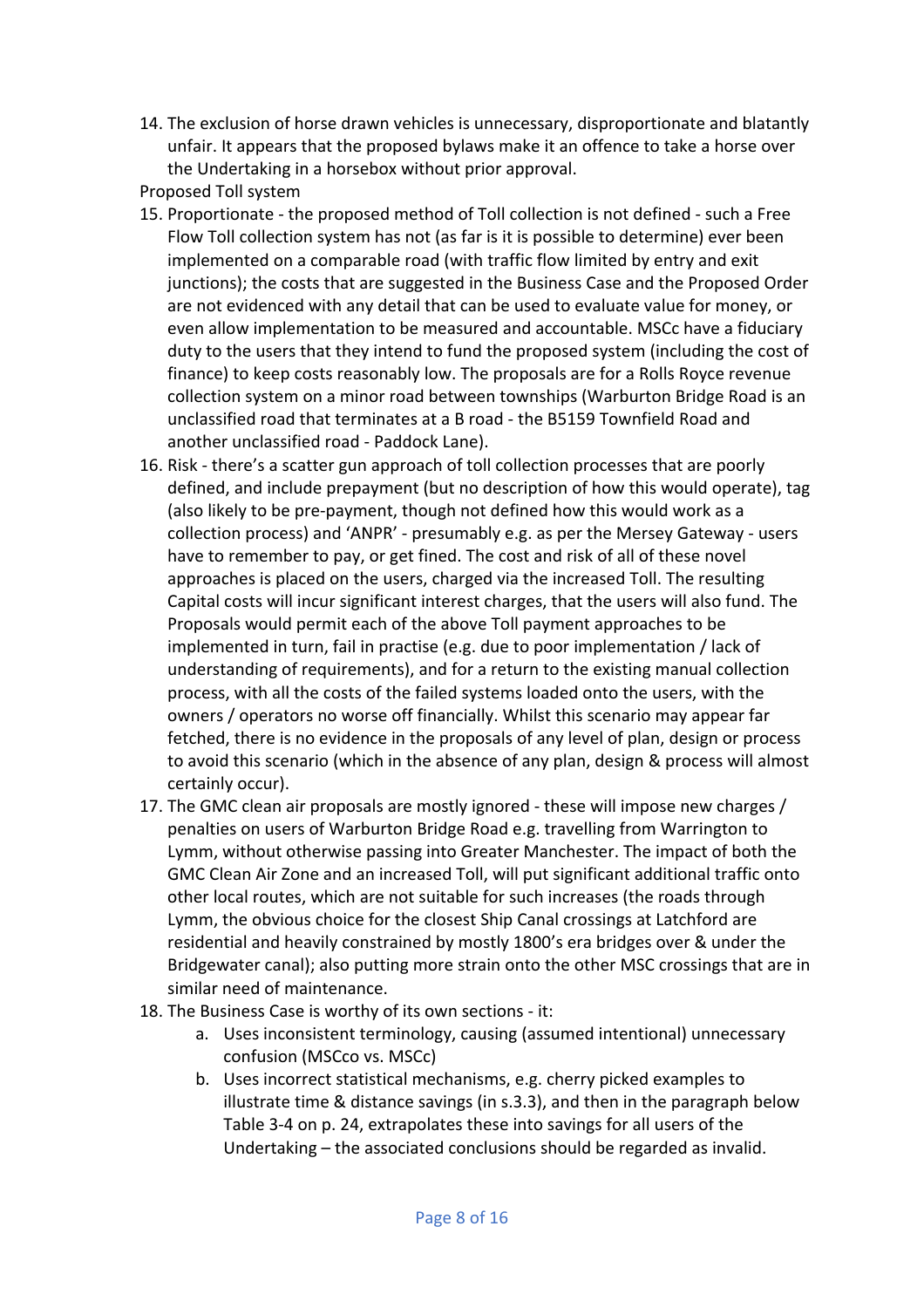14. The exclusion of horse drawn vehicles is unnecessary, disproportionate and blatantly unfair. It appears that the proposed bylaws make it an offence to take a horse over the Undertaking in a horsebox without prior approval.

Proposed Toll system

- 15. Proportionate the proposed method of Toll collection is not defined such a Free Flow Toll collection system has not (as far is it is possible to determine) ever been implemented on a comparable road (with traffic flow limited by entry and exit junctions); the costs that are suggested in the Business Case and the Proposed Order are not evidenced with any detail that can be used to evaluate value for money, or even allow implementation to be measured and accountable. MSCc have a fiduciary duty to the users that they intend to fund the proposed system (including the cost of finance) to keep costs reasonably low. The proposals are for a Rolls Royce revenue collection system on a minor road between townships (Warburton Bridge Road is an unclassified road that terminates at a B road - the B5159 Townfield Road and another unclassified road - Paddock Lane).
- 16. Risk there's a scatter gun approach of toll collection processes that are poorly defined, and include prepayment (but no description of how this would operate), tag (also likely to be pre-payment, though not defined how this would work as a collection process) and 'ANPR' - presumably e.g. as per the Mersey Gateway - users have to remember to pay, or get fined. The cost and risk of all of these novel approaches is placed on the users, charged via the increased Toll. The resulting Capital costs will incur significant interest charges, that the users will also fund. The Proposals would permit each of the above Toll payment approaches to be implemented in turn, fail in practise (e.g. due to poor implementation / lack of understanding of requirements), and for a return to the existing manual collection process, with all the costs of the failed systems loaded onto the users, with the owners / operators no worse off financially. Whilst this scenario may appear far fetched, there is no evidence in the proposals of any level of plan, design or process to avoid this scenario (which in the absence of any plan, design & process will almost certainly occur).
- 17. The GMC clean air proposals are mostly ignored these will impose new charges / penalties on users of Warburton Bridge Road e.g. travelling from Warrington to Lymm, without otherwise passing into Greater Manchester. The impact of both the GMC Clean Air Zone and an increased Toll, will put significant additional traffic onto other local routes, which are not suitable for such increases (the roads through Lymm, the obvious choice for the closest Ship Canal crossings at Latchford are residential and heavily constrained by mostly 1800's era bridges over & under the Bridgewater canal); also putting more strain onto the other MSC crossings that are in similar need of maintenance.
- 18. The Business Case is worthy of its own sections it:
	- a. Uses inconsistent terminology, causing (assumed intentional) unnecessary confusion (MSCco vs. MSCc)
	- b. Uses incorrect statistical mechanisms, e.g. cherry picked examples to illustrate time & distance savings (in s.3.3), and then in the paragraph below Table 3-4 on p. 24, extrapolates these into savings for all users of the Undertaking – the associated conclusions should be regarded as invalid.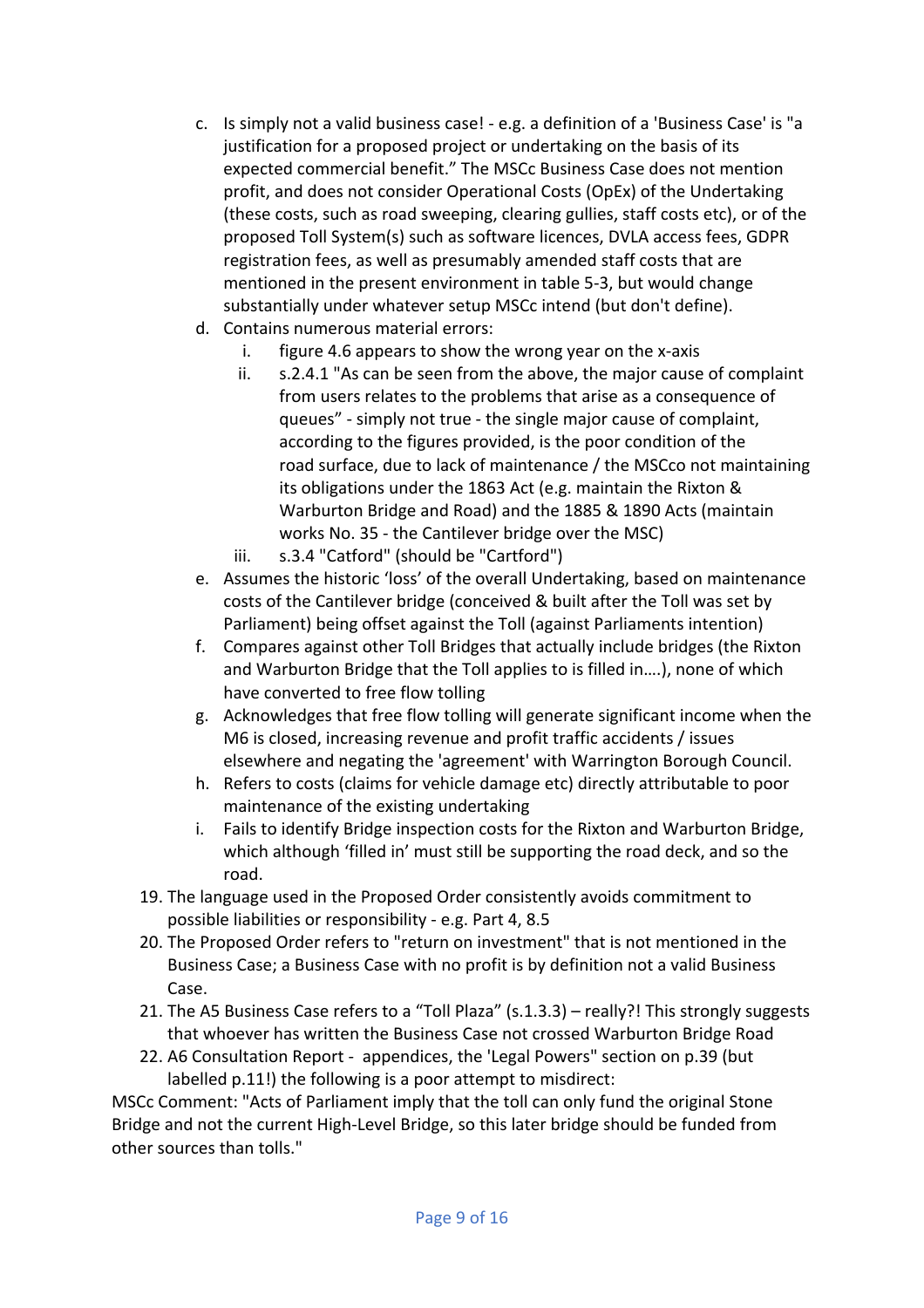- c. Is simply not a valid business case! e.g. a definition of a 'Business Case' is "a justification for a proposed project or undertaking on the basis of its expected commercial benefit." The MSCc Business Case does not mention profit, and does not consider Operational Costs (OpEx) of the Undertaking (these costs, such as road sweeping, clearing gullies, staff costs etc), or of the proposed Toll System(s) such as software licences, DVLA access fees, GDPR registration fees, as well as presumably amended staff costs that are mentioned in the present environment in table 5-3, but would change substantially under whatever setup MSCc intend (but don't define).
- d. Contains numerous material errors:
	- i. figure 4.6 appears to show the wrong year on the x-axis
	- ii. s.2.4.1 "As can be seen from the above, the major cause of complaint from users relates to the problems that arise as a consequence of queues" - simply not true - the single major cause of complaint, according to the figures provided, is the poor condition of the road surface, due to lack of maintenance / the MSCco not maintaining its obligations under the 1863 Act (e.g. maintain the Rixton & Warburton Bridge and Road) and the 1885 & 1890 Acts (maintain works No. 35 - the Cantilever bridge over the MSC)
	- iii. s.3.4 "Catford" (should be "Cartford")
- e. Assumes the historic 'loss' of the overall Undertaking, based on maintenance costs of the Cantilever bridge (conceived & built after the Toll was set by Parliament) being offset against the Toll (against Parliaments intention)
- f. Compares against other Toll Bridges that actually include bridges (the Rixton and Warburton Bridge that the Toll applies to is filled in….), none of which have converted to free flow tolling
- g. Acknowledges that free flow tolling will generate significant income when the M6 is closed, increasing revenue and profit traffic accidents / issues elsewhere and negating the 'agreement' with Warrington Borough Council.
- h. Refers to costs (claims for vehicle damage etc) directly attributable to poor maintenance of the existing undertaking
- i. Fails to identify Bridge inspection costs for the Rixton and Warburton Bridge, which although 'filled in' must still be supporting the road deck, and so the road.
- 19. The language used in the Proposed Order consistently avoids commitment to possible liabilities or responsibility - e.g. Part 4, 8.5
- 20. The Proposed Order refers to "return on investment" that is not mentioned in the Business Case; a Business Case with no profit is by definition not a valid Business Case.
- 21. The A5 Business Case refers to a "Toll Plaza" (s.1.3.3) really?! This strongly suggests that whoever has written the Business Case not crossed Warburton Bridge Road
- 22. A6 Consultation Report appendices, the 'Legal Powers" section on p.39 (but labelled p.11!) the following is a poor attempt to misdirect:

MSCc Comment: "Acts of Parliament imply that the toll can only fund the original Stone Bridge and not the current High-Level Bridge, so this later bridge should be funded from other sources than tolls."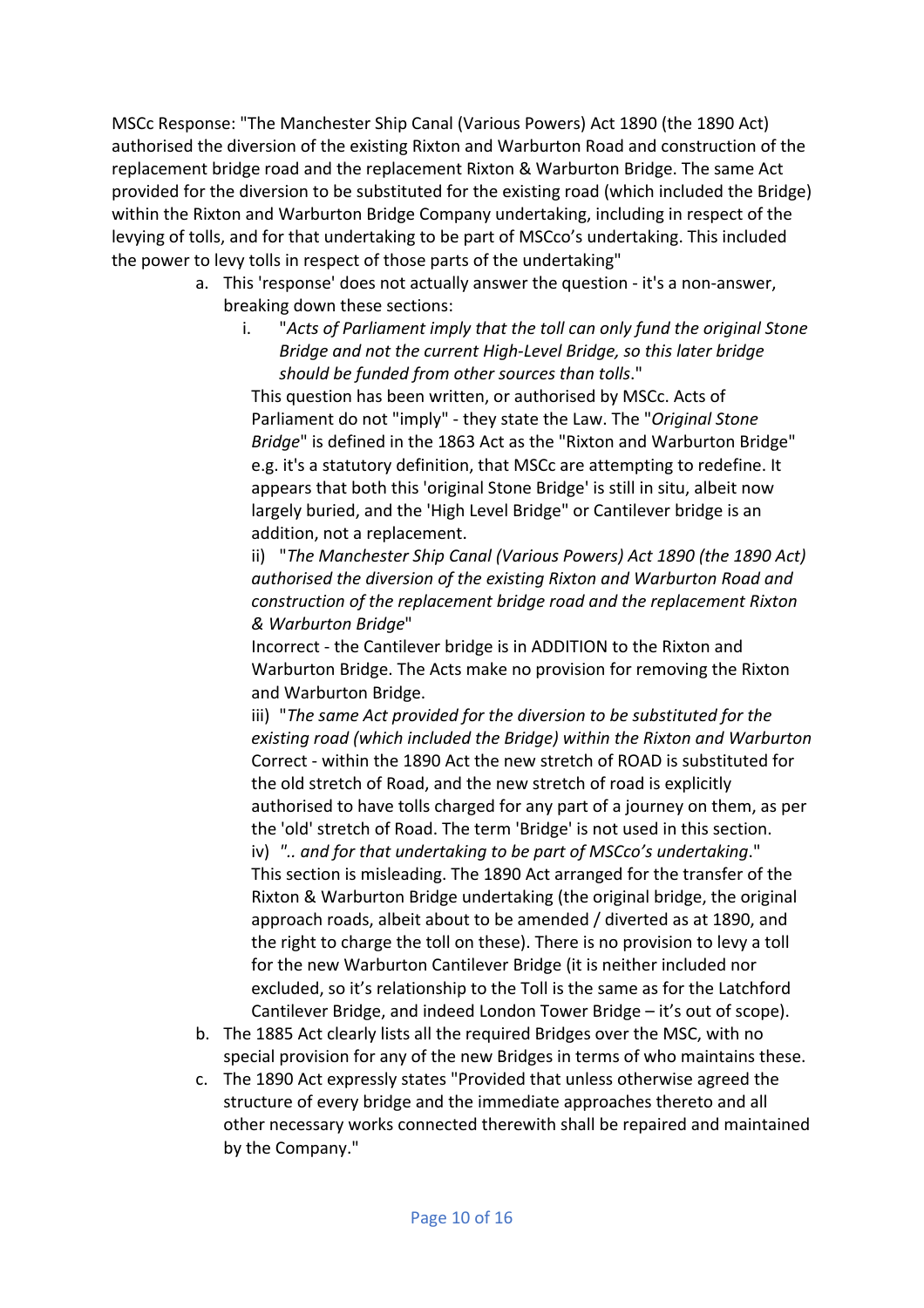MSCc Response: "The Manchester Ship Canal (Various Powers) Act 1890 (the 1890 Act) authorised the diversion of the existing Rixton and Warburton Road and construction of the replacement bridge road and the replacement Rixton & Warburton Bridge. The same Act provided for the diversion to be substituted for the existing road (which included the Bridge) within the Rixton and Warburton Bridge Company undertaking, including in respect of the levying of tolls, and for that undertaking to be part of MSCco's undertaking. This included the power to levy tolls in respect of those parts of the undertaking"

- a. This 'response' does not actually answer the question it's a non-answer, breaking down these sections:
	- i. "*Acts of Parliament imply that the toll can only fund the original Stone Bridge and not the current High-Level Bridge, so this later bridge should be funded from other sources than tolls*."

This question has been written, or authorised by MSCc. Acts of Parliament do not "imply" - they state the Law. The "*Original Stone Bridge*" is defined in the 1863 Act as the "Rixton and Warburton Bridge" e.g. it's a statutory definition, that MSCc are attempting to redefine. It appears that both this 'original Stone Bridge' is still in situ, albeit now largely buried, and the 'High Level Bridge" or Cantilever bridge is an addition, not a replacement.

ii) "*The Manchester Ship Canal (Various Powers) Act 1890 (the 1890 Act) authorised the diversion of the existing Rixton and Warburton Road and construction of the replacement bridge road and the replacement Rixton & Warburton Bridge*"

Incorrect - the Cantilever bridge is in ADDITION to the Rixton and Warburton Bridge. The Acts make no provision for removing the Rixton and Warburton Bridge.

iii) "*The same Act provided for the diversion to be substituted for the existing road (which included the Bridge) within the Rixton and Warburton*  Correct - within the 1890 Act the new stretch of ROAD is substituted for the old stretch of Road, and the new stretch of road is explicitly authorised to have tolls charged for any part of a journey on them, as per the 'old' stretch of Road. The term 'Bridge' is not used in this section. iv) *".. and for that undertaking to be part of MSCco's undertaking*." This section is misleading. The 1890 Act arranged for the transfer of the Rixton & Warburton Bridge undertaking (the original bridge, the original approach roads, albeit about to be amended / diverted as at 1890, and the right to charge the toll on these). There is no provision to levy a toll for the new Warburton Cantilever Bridge (it is neither included nor excluded, so it's relationship to the Toll is the same as for the Latchford Cantilever Bridge, and indeed London Tower Bridge – it's out of scope).

- b. The 1885 Act clearly lists all the required Bridges over the MSC, with no special provision for any of the new Bridges in terms of who maintains these.
- c. The 1890 Act expressly states "Provided that unless otherwise agreed the structure of every bridge and the immediate approaches thereto and all other necessary works connected therewith shall be repaired and maintained by the Company."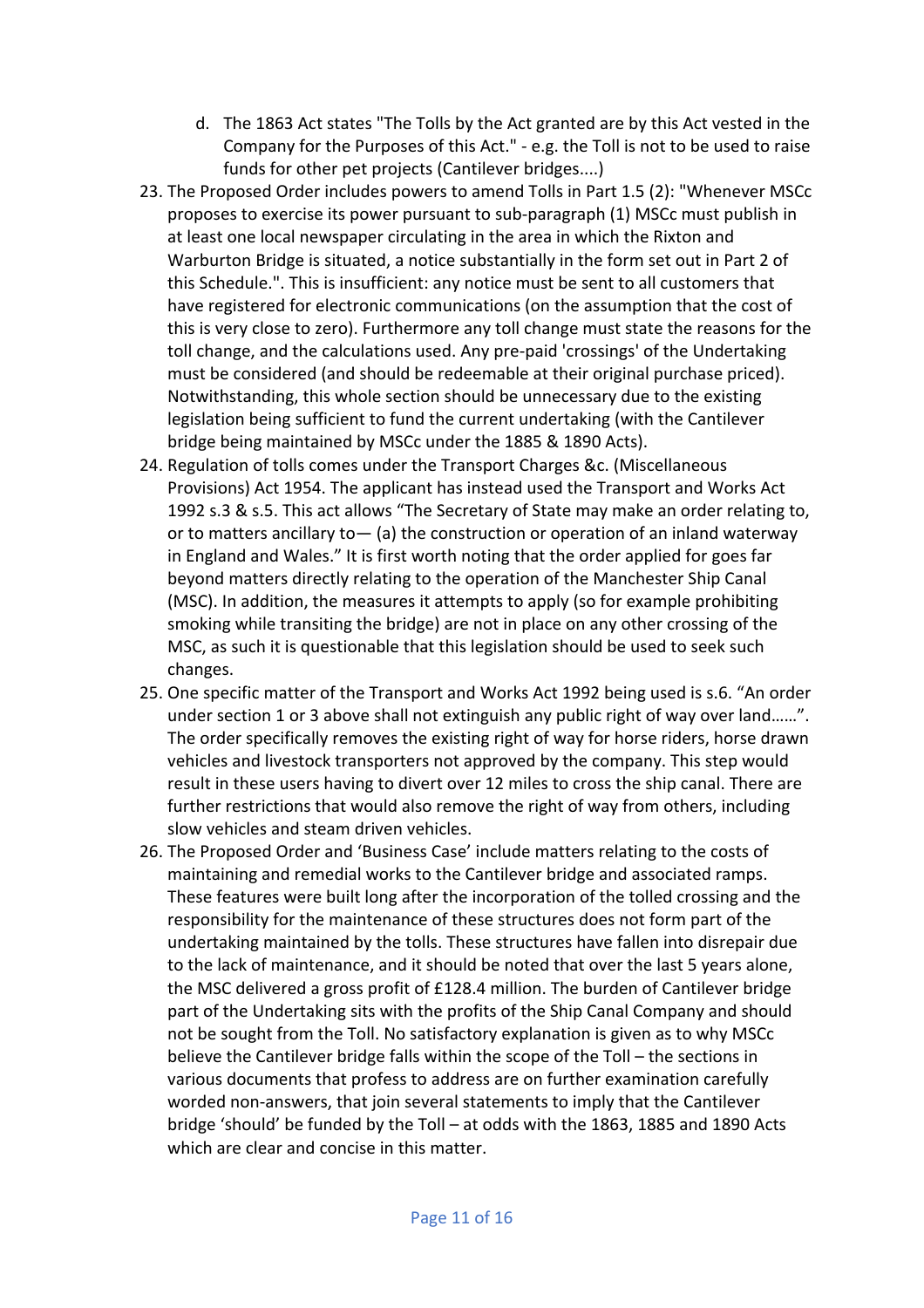- d. The 1863 Act states "The Tolls by the Act granted are by this Act vested in the Company for the Purposes of this Act." - e.g. the Toll is not to be used to raise funds for other pet projects (Cantilever bridges....)
- 23. The Proposed Order includes powers to amend Tolls in Part 1.5 (2): "Whenever MSCc proposes to exercise its power pursuant to sub-paragraph (1) MSCc must publish in at least one local newspaper circulating in the area in which the Rixton and Warburton Bridge is situated, a notice substantially in the form set out in Part 2 of this Schedule.". This is insufficient: any notice must be sent to all customers that have registered for electronic communications (on the assumption that the cost of this is very close to zero). Furthermore any toll change must state the reasons for the toll change, and the calculations used. Any pre-paid 'crossings' of the Undertaking must be considered (and should be redeemable at their original purchase priced). Notwithstanding, this whole section should be unnecessary due to the existing legislation being sufficient to fund the current undertaking (with the Cantilever bridge being maintained by MSCc under the 1885 & 1890 Acts).
- 24. Regulation of tolls comes under the Transport Charges &c. (Miscellaneous Provisions) Act 1954. The applicant has instead used the Transport and Works Act 1992 s.3 & s.5. This act allows "The Secretary of State may make an order relating to, or to matters ancillary to— (a) the construction or operation of an inland waterway in England and Wales." It is first worth noting that the order applied for goes far beyond matters directly relating to the operation of the Manchester Ship Canal (MSC). In addition, the measures it attempts to apply (so for example prohibiting smoking while transiting the bridge) are not in place on any other crossing of the MSC, as such it is questionable that this legislation should be used to seek such changes.
- 25. One specific matter of the Transport and Works Act 1992 being used is s.6. "An order under section 1 or 3 above shall not extinguish any public right of way over land……". The order specifically removes the existing right of way for horse riders, horse drawn vehicles and livestock transporters not approved by the company. This step would result in these users having to divert over 12 miles to cross the ship canal. There are further restrictions that would also remove the right of way from others, including slow vehicles and steam driven vehicles.
- 26. The Proposed Order and 'Business Case' include matters relating to the costs of maintaining and remedial works to the Cantilever bridge and associated ramps. These features were built long after the incorporation of the tolled crossing and the responsibility for the maintenance of these structures does not form part of the undertaking maintained by the tolls. These structures have fallen into disrepair due to the lack of maintenance, and it should be noted that over the last 5 years alone, the MSC delivered a gross profit of £128.4 million. The burden of Cantilever bridge part of the Undertaking sits with the profits of the Ship Canal Company and should not be sought from the Toll. No satisfactory explanation is given as to why MSCc believe the Cantilever bridge falls within the scope of the Toll – the sections in various documents that profess to address are on further examination carefully worded non-answers, that join several statements to imply that the Cantilever bridge 'should' be funded by the Toll – at odds with the 1863, 1885 and 1890 Acts which are clear and concise in this matter.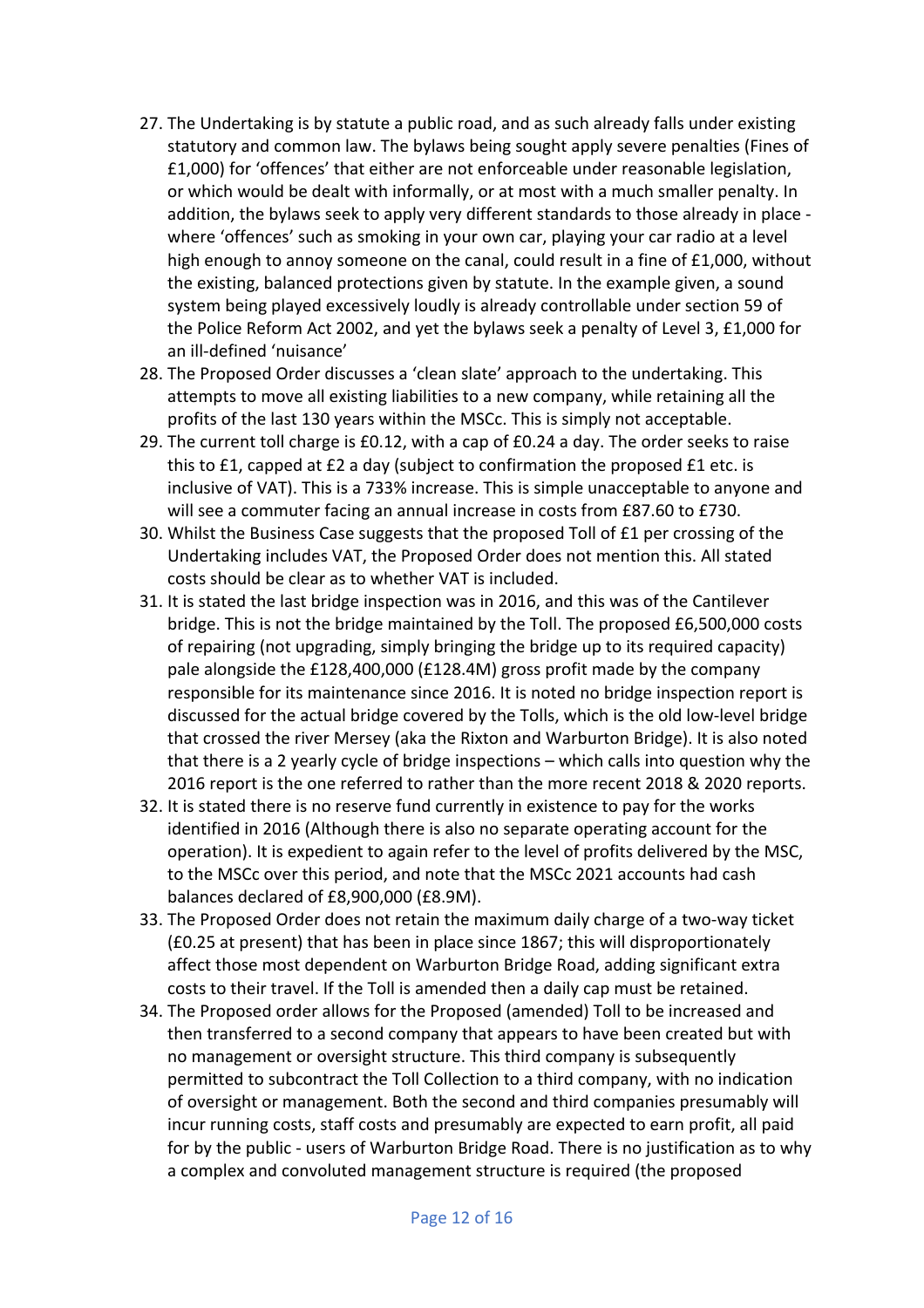- 27. The Undertaking is by statute a public road, and as such already falls under existing statutory and common law. The bylaws being sought apply severe penalties (Fines of £1,000) for 'offences' that either are not enforceable under reasonable legislation, or which would be dealt with informally, or at most with a much smaller penalty. In addition, the bylaws seek to apply very different standards to those already in place where 'offences' such as smoking in your own car, playing your car radio at a level high enough to annoy someone on the canal, could result in a fine of £1,000, without the existing, balanced protections given by statute. In the example given, a sound system being played excessively loudly is already controllable under section 59 of the Police Reform Act 2002, and yet the bylaws seek a penalty of Level 3, £1,000 for an ill-defined 'nuisance'
- 28. The Proposed Order discusses a 'clean slate' approach to the undertaking. This attempts to move all existing liabilities to a new company, while retaining all the profits of the last 130 years within the MSCc. This is simply not acceptable.
- 29. The current toll charge is £0.12, with a cap of £0.24 a day. The order seeks to raise this to £1, capped at £2 a day (subject to confirmation the proposed £1 etc. is inclusive of VAT). This is a 733% increase. This is simple unacceptable to anyone and will see a commuter facing an annual increase in costs from £87.60 to £730.
- 30. Whilst the Business Case suggests that the proposed Toll of £1 per crossing of the Undertaking includes VAT, the Proposed Order does not mention this. All stated costs should be clear as to whether VAT is included.
- 31. It is stated the last bridge inspection was in 2016, and this was of the Cantilever bridge. This is not the bridge maintained by the Toll. The proposed £6,500,000 costs of repairing (not upgrading, simply bringing the bridge up to its required capacity) pale alongside the £128,400,000 (£128.4M) gross profit made by the company responsible for its maintenance since 2016. It is noted no bridge inspection report is discussed for the actual bridge covered by the Tolls, which is the old low-level bridge that crossed the river Mersey (aka the Rixton and Warburton Bridge). It is also noted that there is a 2 yearly cycle of bridge inspections – which calls into question why the 2016 report is the one referred to rather than the more recent 2018 & 2020 reports.
- 32. It is stated there is no reserve fund currently in existence to pay for the works identified in 2016 (Although there is also no separate operating account for the operation). It is expedient to again refer to the level of profits delivered by the MSC, to the MSCc over this period, and note that the MSCc 2021 accounts had cash balances declared of £8,900,000 (£8.9M).
- 33. The Proposed Order does not retain the maximum daily charge of a two-way ticket (£0.25 at present) that has been in place since 1867; this will disproportionately affect those most dependent on Warburton Bridge Road, adding significant extra costs to their travel. If the Toll is amended then a daily cap must be retained.
- 34. The Proposed order allows for the Proposed (amended) Toll to be increased and then transferred to a second company that appears to have been created but with no management or oversight structure. This third company is subsequently permitted to subcontract the Toll Collection to a third company, with no indication of oversight or management. Both the second and third companies presumably will incur running costs, staff costs and presumably are expected to earn profit, all paid for by the public - users of Warburton Bridge Road. There is no justification as to why a complex and convoluted management structure is required (the proposed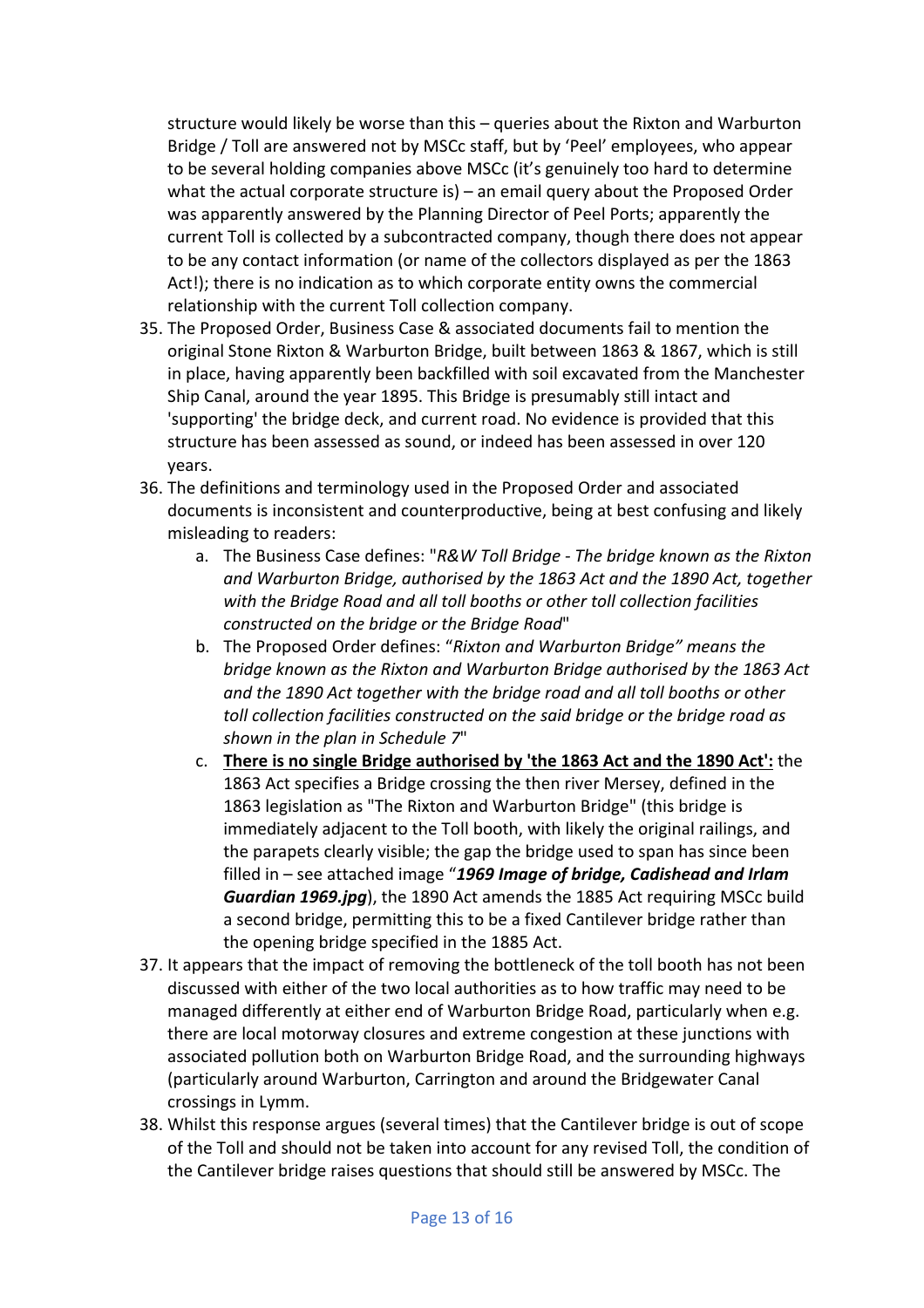structure would likely be worse than this – queries about the Rixton and Warburton Bridge / Toll are answered not by MSCc staff, but by 'Peel' employees, who appear to be several holding companies above MSCc (it's genuinely too hard to determine what the actual corporate structure is) – an email query about the Proposed Order was apparently answered by the Planning Director of Peel Ports; apparently the current Toll is collected by a subcontracted company, though there does not appear to be any contact information (or name of the collectors displayed as per the 1863 Act!); there is no indication as to which corporate entity owns the commercial relationship with the current Toll collection company.

- 35. The Proposed Order, Business Case & associated documents fail to mention the original Stone Rixton & Warburton Bridge, built between 1863 & 1867, which is still in place, having apparently been backfilled with soil excavated from the Manchester Ship Canal, around the year 1895. This Bridge is presumably still intact and 'supporting' the bridge deck, and current road. No evidence is provided that this structure has been assessed as sound, or indeed has been assessed in over 120 years.
- 36. The definitions and terminology used in the Proposed Order and associated documents is inconsistent and counterproductive, being at best confusing and likely misleading to readers:
	- a. The Business Case defines: "*R&W Toll Bridge - The bridge known as the Rixton and Warburton Bridge, authorised by the 1863 Act and the 1890 Act, together with the Bridge Road and all toll booths or other toll collection facilities constructed on the bridge or the Bridge Road*"
	- b. The Proposed Order defines: "*Rixton and Warburton Bridge" means the bridge known as the Rixton and Warburton Bridge authorised by the 1863 Act and the 1890 Act together with the bridge road and all toll booths or other toll collection facilities constructed on the said bridge or the bridge road as shown in the plan in Schedule 7*"
	- c. **There is no single Bridge authorised by 'the 1863 Act and the 1890 Act':** the 1863 Act specifies a Bridge crossing the then river Mersey, defined in the 1863 legislation as "The Rixton and Warburton Bridge" (this bridge is immediately adjacent to the Toll booth, with likely the original railings, and the parapets clearly visible; the gap the bridge used to span has since been filled in – see attached image "*1969 Image of bridge, Cadishead and Irlam Guardian 1969.jpg*), the 1890 Act amends the 1885 Act requiring MSCc build a second bridge, permitting this to be a fixed Cantilever bridge rather than the opening bridge specified in the 1885 Act.
- 37. It appears that the impact of removing the bottleneck of the toll booth has not been discussed with either of the two local authorities as to how traffic may need to be managed differently at either end of Warburton Bridge Road, particularly when e.g. there are local motorway closures and extreme congestion at these junctions with associated pollution both on Warburton Bridge Road, and the surrounding highways (particularly around Warburton, Carrington and around the Bridgewater Canal crossings in Lymm.
- 38. Whilst this response argues (several times) that the Cantilever bridge is out of scope of the Toll and should not be taken into account for any revised Toll, the condition of the Cantilever bridge raises questions that should still be answered by MSCc. The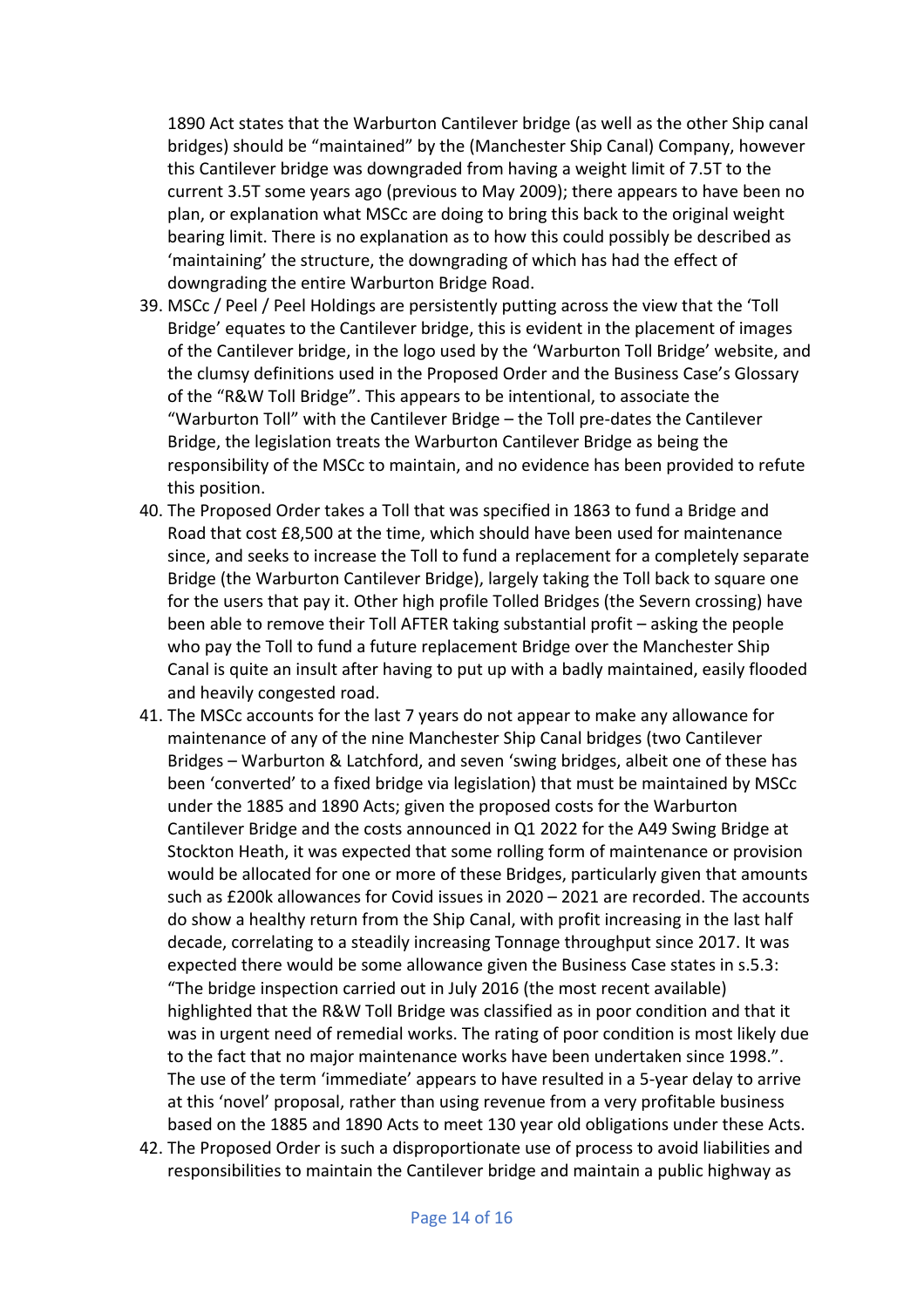1890 Act states that the Warburton Cantilever bridge (as well as the other Ship canal bridges) should be "maintained" by the (Manchester Ship Canal) Company, however this Cantilever bridge was downgraded from having a weight limit of 7.5T to the current 3.5T some years ago (previous to May 2009); there appears to have been no plan, or explanation what MSCc are doing to bring this back to the original weight bearing limit. There is no explanation as to how this could possibly be described as 'maintaining' the structure, the downgrading of which has had the effect of downgrading the entire Warburton Bridge Road.

- 39. MSCc / Peel / Peel Holdings are persistently putting across the view that the 'Toll Bridge' equates to the Cantilever bridge, this is evident in the placement of images of the Cantilever bridge, in the logo used by the 'Warburton Toll Bridge' website, and the clumsy definitions used in the Proposed Order and the Business Case's Glossary of the "R&W Toll Bridge". This appears to be intentional, to associate the "Warburton Toll" with the Cantilever Bridge – the Toll pre-dates the Cantilever Bridge, the legislation treats the Warburton Cantilever Bridge as being the responsibility of the MSCc to maintain, and no evidence has been provided to refute this position.
- 40. The Proposed Order takes a Toll that was specified in 1863 to fund a Bridge and Road that cost £8,500 at the time, which should have been used for maintenance since, and seeks to increase the Toll to fund a replacement for a completely separate Bridge (the Warburton Cantilever Bridge), largely taking the Toll back to square one for the users that pay it. Other high profile Tolled Bridges (the Severn crossing) have been able to remove their Toll AFTER taking substantial profit – asking the people who pay the Toll to fund a future replacement Bridge over the Manchester Ship Canal is quite an insult after having to put up with a badly maintained, easily flooded and heavily congested road.
- 41. The MSCc accounts for the last 7 years do not appear to make any allowance for maintenance of any of the nine Manchester Ship Canal bridges (two Cantilever Bridges – Warburton & Latchford, and seven 'swing bridges, albeit one of these has been 'converted' to a fixed bridge via legislation) that must be maintained by MSCc under the 1885 and 1890 Acts; given the proposed costs for the Warburton Cantilever Bridge and the costs announced in Q1 2022 for the A49 Swing Bridge at Stockton Heath, it was expected that some rolling form of maintenance or provision would be allocated for one or more of these Bridges, particularly given that amounts such as £200k allowances for Covid issues in 2020 – 2021 are recorded. The accounts do show a healthy return from the Ship Canal, with profit increasing in the last half decade, correlating to a steadily increasing Tonnage throughput since 2017. It was expected there would be some allowance given the Business Case states in s.5.3: "The bridge inspection carried out in July 2016 (the most recent available) highlighted that the R&W Toll Bridge was classified as in poor condition and that it was in urgent need of remedial works. The rating of poor condition is most likely due to the fact that no major maintenance works have been undertaken since 1998.". The use of the term 'immediate' appears to have resulted in a 5-year delay to arrive at this 'novel' proposal, rather than using revenue from a very profitable business based on the 1885 and 1890 Acts to meet 130 year old obligations under these Acts.
- 42. The Proposed Order is such a disproportionate use of process to avoid liabilities and responsibilities to maintain the Cantilever bridge and maintain a public highway as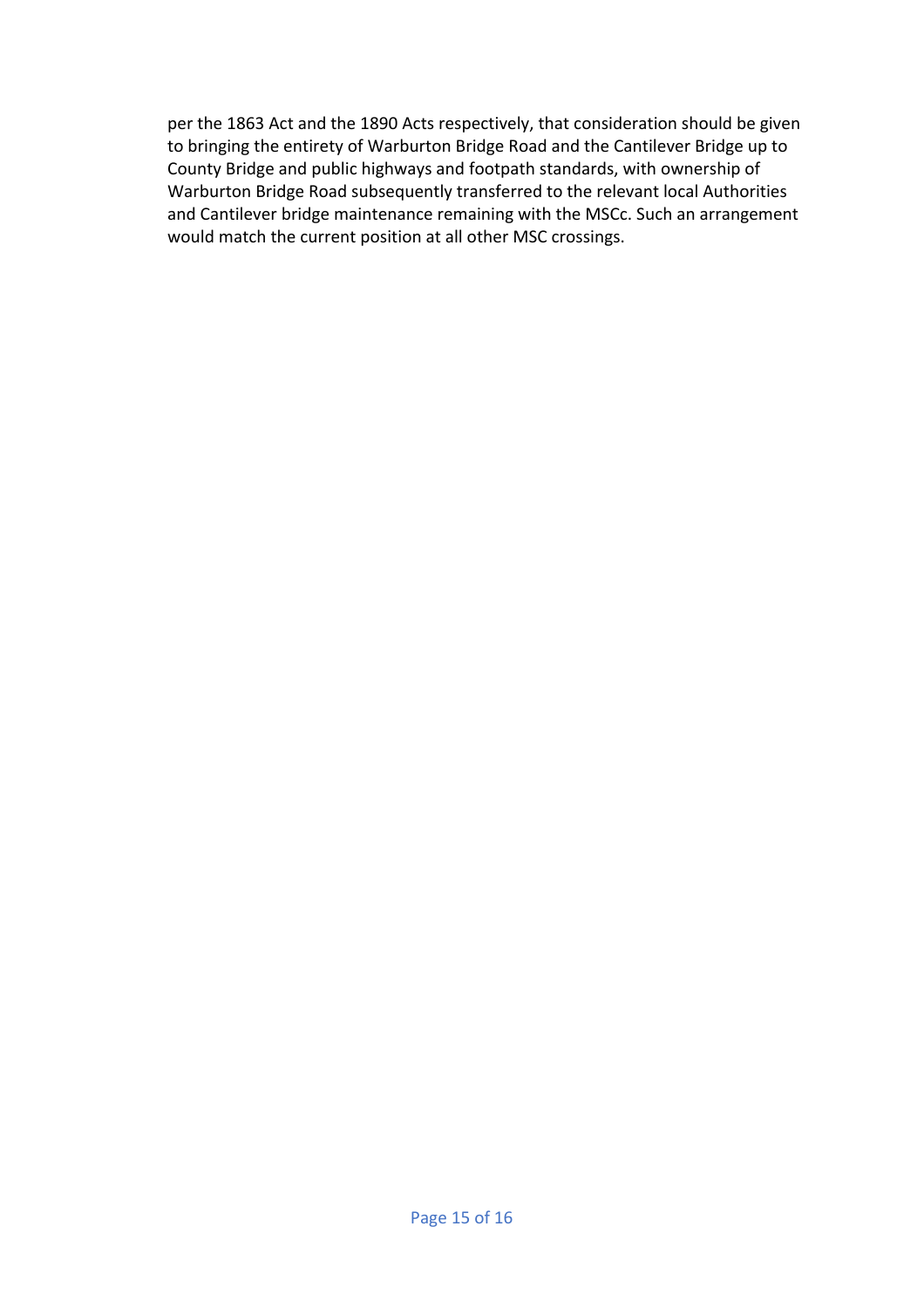per the 1863 Act and the 1890 Acts respectively, that consideration should be given to bringing the entirety of Warburton Bridge Road and the Cantilever Bridge up to County Bridge and public highways and footpath standards, with ownership of Warburton Bridge Road subsequently transferred to the relevant local Authorities and Cantilever bridge maintenance remaining with the MSCc. Such an arrangement would match the current position at all other MSC crossings.